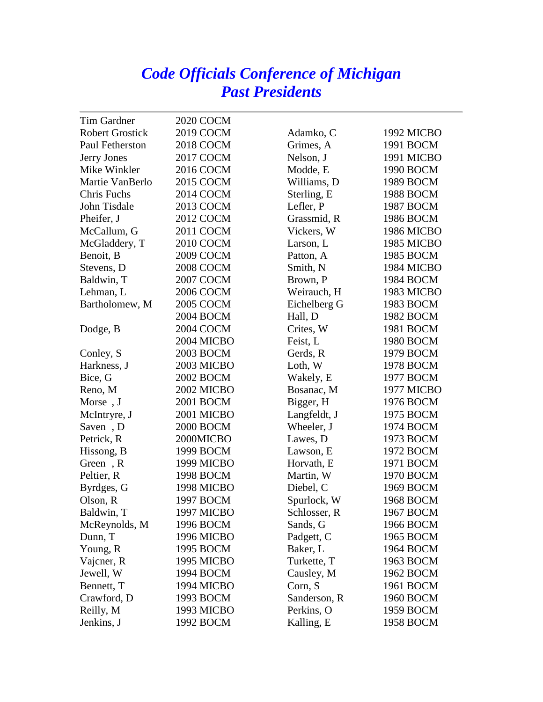## *Code Officials Conference of Michigan Past Presidents*

| <b>Tim Gardner</b>     | 2020 COCM        |              |                   |
|------------------------|------------------|--------------|-------------------|
| <b>Robert Grostick</b> | 2019 COCM        | Adamko, C    | <b>1992 MICBO</b> |
| Paul Fetherston        | <b>2018 COCM</b> | Grimes, A    | 1991 BOCM         |
| Jerry Jones            | 2017 COCM        | Nelson, J    | 1991 MICBO        |
| Mike Winkler           | 2016 COCM        | Modde, E     | 1990 BOCM         |
| Martie VanBerlo        | 2015 COCM        | Williams, D  | 1989 BOCM         |
| Chris Fuchs            | 2014 COCM        | Sterling, E  | 1988 BOCM         |
| John Tisdale           | 2013 COCM        | Lefler, P    | 1987 BOCM         |
| Pheifer, J             | 2012 COCM        | Grassmid, R  | 1986 BOCM         |
| McCallum, G            | 2011 COCM        | Vickers, W   | 1986 MICBO        |
| McGladdery, T          | 2010 COCM        | Larson, L    | 1985 MICBO        |
| Benoit, B              | <b>2009 COCM</b> | Patton, A    | 1985 BOCM         |
| Stevens, D             | <b>2008 COCM</b> | Smith, N     | 1984 MICBO        |
| Baldwin, T             | <b>2007 COCM</b> | Brown, P     | 1984 BOCM         |
| Lehman, L              | <b>2006 COCM</b> | Weirauch, H  | 1983 MICBO        |
| Bartholomew, M         | <b>2005 COCM</b> | Eichelberg G | 1983 BOCM         |
|                        | 2004 BOCM        | Hall, D      | 1982 BOCM         |
| Dodge, B               | 2004 COCM        | Crites, W    | 1981 BOCM         |
|                        | 2004 MICBO       | Feist, L     | 1980 BOCM         |
| Conley, S              | 2003 BOCM        | Gerds, R     | 1979 BOCM         |
| Harkness, J            | 2003 MICBO       | Loth, W      | 1978 BOCM         |
| Bice, G                | 2002 BOCM        | Wakely, E    | 1977 BOCM         |
| Reno, M                | 2002 MICBO       | Bosanac, M   | 1977 MICBO        |
| Morse, J               | 2001 BOCM        | Bigger, H    | 1976 BOCM         |
| McIntryre, J           | 2001 MICBO       | Langfeldt, J | 1975 BOCM         |
| Saven, D               | 2000 BOCM        | Wheeler, J   | 1974 BOCM         |
| Petrick, R             | 2000MICBO        | Lawes, D     | 1973 BOCM         |
| Hissong, B             | 1999 BOCM        | Lawson, E    | 1972 BOCM         |
| Green, R               | 1999 MICBO       | Horvath, E   | 1971 BOCM         |
| Peltier, R             | 1998 BOCM        | Martin, W    | 1970 BOCM         |
| Byrdges, G             | 1998 MICBO       | Diebel, C    | 1969 BOCM         |
| Olson, R               | 1997 BOCM        | Spurlock, W  | 1968 BOCM         |
| Baldwin, T             | 1997 MICBO       | Schlosser, R | 1967 BOCM         |
| McReynolds, M          | 1996 BOCM        | Sands, G     | 1966 BOCM         |
| Dunn, T                | 1996 MICBO       | Padgett, C   | 1965 BOCM         |
| Young, R               | 1995 BOCM        | Baker, L     | 1964 BOCM         |
| Vajcner, R             | 1995 MICBO       | Turkette, T  | 1963 BOCM         |
| Jewell, W              | 1994 BOCM        | Causley, M   | 1962 BOCM         |
| Bennett, T             | 1994 MICBO       | Corn, S      | 1961 BOCM         |
| Crawford, D            | 1993 BOCM        | Sanderson, R | 1960 BOCM         |
| Reilly, M              | 1993 MICBO       | Perkins, O   | 1959 BOCM         |
| Jenkins, J             | 1992 BOCM        | Kalling, E   | 1958 BOCM         |